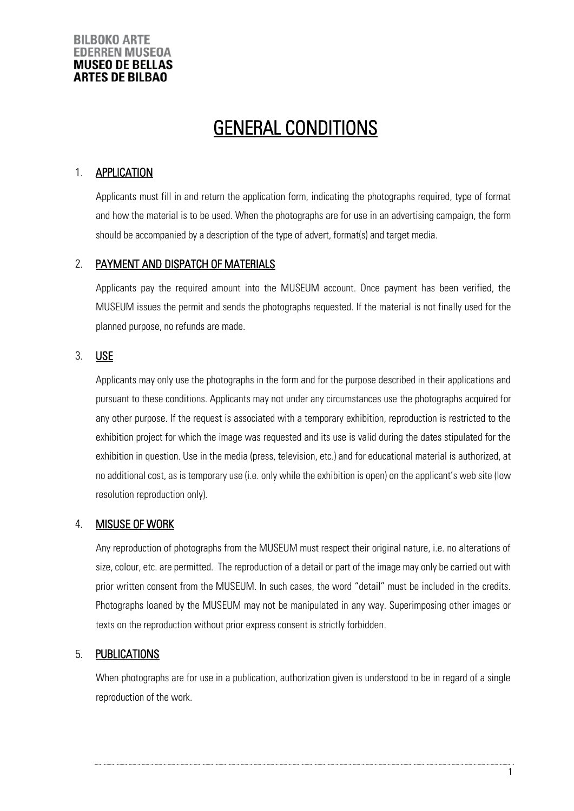# GENERAL CONDITIONS

## 1. **APPLICATION**

Applicants must fill in and return the application form, indicating the photographs required, type of format and how the material is to be used. When the photographs are for use in an advertising campaign, the form should be accompanied by a description of the type of advert, format(s) and target media.

## 2. PAYMENT AND DISPATCH OF MATERIALS

Applicants pay the required amount into the MUSEUM account. Once payment has been verified, the MUSEUM issues the permit and sends the photographs requested. If the material is not finally used for the planned purpose, no refunds are made.

## 3. USE

Applicants may only use the photographs in the form and for the purpose described in their applications and pursuant to these conditions. Applicants may not under any circumstances use the photographs acquired for any other purpose. If the request is associated with a temporary exhibition, reproduction is restricted to the exhibition project for which the image was requested and its use is valid during the dates stipulated for the exhibition in question. Use in the media (press, television, etc.) and for educational material is authorized, at no additional cost, as is temporary use (i.e. only while the exhibition is open) on the applicant's web site (low resolution reproduction only).

## 4. MISUSE OF WORK

Any reproduction of photographs from the MUSEUM must respect their original nature, i.e. no alterations of size, colour, etc. are permitted. The reproduction of a detail or part of the image may only be carried out with prior written consent from the MUSEUM. In such cases, the word "detail" must be included in the credits. Photographs loaned by the MUSEUM may not be manipulated in any way. Superimposing other images or texts on the reproduction without prior express consent is strictly forbidden.

## 5. PUBLICATIONS

When photographs are for use in a publication, authorization given is understood to be in regard of a single reproduction of the work.